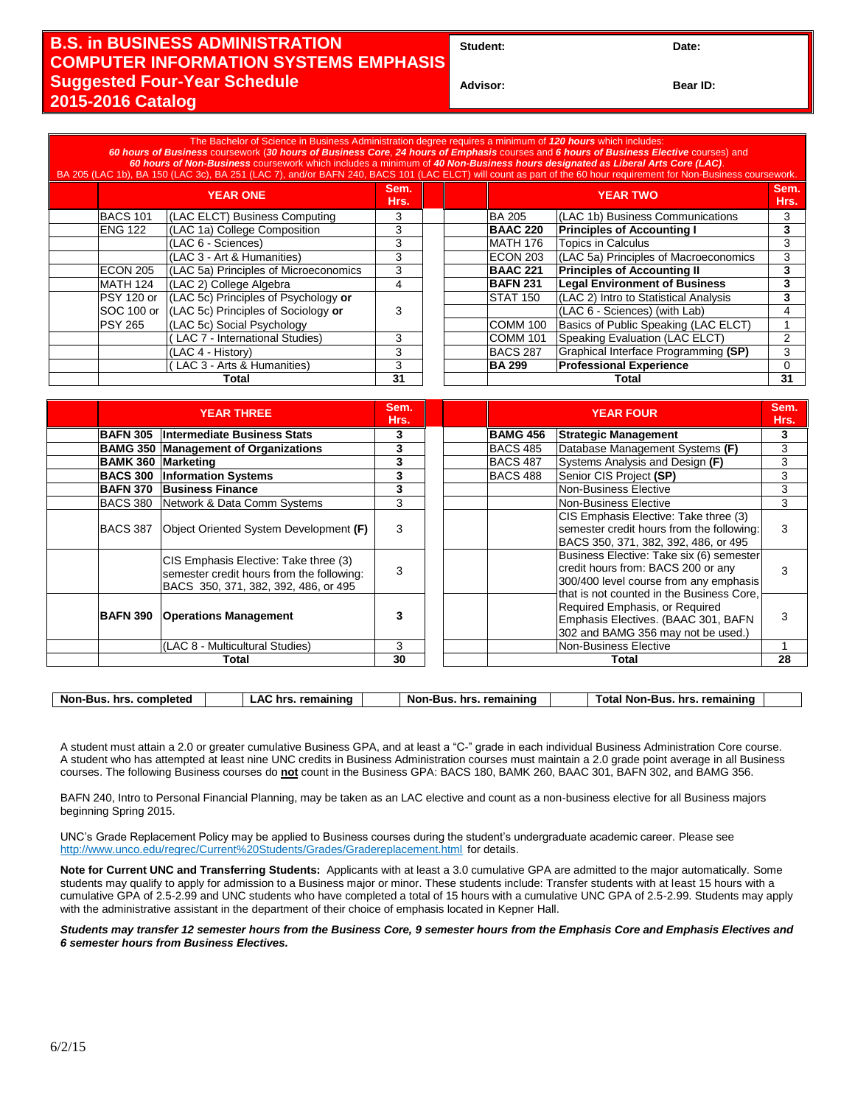## **B.S. in BUSINESS ADMINISTRATION COMPUTER INFORMATION SYSTEMS EMPHASIS Suggested Four-Year Schedule 2015-2016 Catalog**

Student: Date:

**Advisor: Bear ID:** 

| The Bachelor of Science in Business Administration degree requires a minimum of 120 hours which includes:<br>60 hours of Business coursework (30 hours of Business Core, 24 hours of Emphasis courses and 6 hours of Business Elective courses) and<br>60 hours of Non-Business coursework which includes a minimum of 40 Non-Business hours designated as Liberal Arts Core (LAC).<br>BA 205 (LAC 1b), BA 150 (LAC 3c), BA 251 (LAC 7), and/or BAFN 240, BACS 101 (LAC ELCT) will count as part of the 60 hour requirement for Non-Business coursework. |                 |                                       |              |  |       |                 |                                       |               |
|----------------------------------------------------------------------------------------------------------------------------------------------------------------------------------------------------------------------------------------------------------------------------------------------------------------------------------------------------------------------------------------------------------------------------------------------------------------------------------------------------------------------------------------------------------|-----------------|---------------------------------------|--------------|--|-------|-----------------|---------------------------------------|---------------|
|                                                                                                                                                                                                                                                                                                                                                                                                                                                                                                                                                          | <b>YEAR ONE</b> |                                       | Sem.<br>Hrs. |  |       | <b>YEAR TWO</b> |                                       | Sem.<br>Hrs., |
|                                                                                                                                                                                                                                                                                                                                                                                                                                                                                                                                                          | <b>BACS 101</b> | (LAC ELCT) Business Computing         | 3            |  |       | <b>BA 205</b>   | (LAC 1b) Business Communications      | 3             |
|                                                                                                                                                                                                                                                                                                                                                                                                                                                                                                                                                          | <b>ENG 122</b>  | (LAC 1a) College Composition          | 3            |  |       | <b>BAAC 220</b> | <b>Principles of Accounting I</b>     | 3             |
|                                                                                                                                                                                                                                                                                                                                                                                                                                                                                                                                                          |                 | (LAC 6 - Sciences)                    | 3            |  |       | <b>MATH 176</b> | <b>Topics in Calculus</b>             | 3             |
|                                                                                                                                                                                                                                                                                                                                                                                                                                                                                                                                                          |                 | (LAC 3 - Art & Humanities)            | 3            |  |       | ECON 203        | (LAC 5a) Principles of Macroeconomics | 3             |
|                                                                                                                                                                                                                                                                                                                                                                                                                                                                                                                                                          | ECON 205        | (LAC 5a) Principles of Microeconomics | 3            |  |       | <b>BAAC 221</b> | <b>Principles of Accounting II</b>    | 3             |
|                                                                                                                                                                                                                                                                                                                                                                                                                                                                                                                                                          | <b>MATH 124</b> | (LAC 2) College Algebra               | 4            |  |       | <b>BAFN 231</b> | <b>Legal Environment of Business</b>  | 3             |
|                                                                                                                                                                                                                                                                                                                                                                                                                                                                                                                                                          | PSY 120 or      | (LAC 5c) Principles of Psychology or  |              |  |       | <b>STAT 150</b> | (LAC 2) Intro to Statistical Analysis | 3             |
|                                                                                                                                                                                                                                                                                                                                                                                                                                                                                                                                                          | SOC 100 or      | (LAC 5c) Principles of Sociology or   | 3            |  |       |                 | (LAC 6 - Sciences) (with Lab)         |               |
|                                                                                                                                                                                                                                                                                                                                                                                                                                                                                                                                                          | <b>PSY 265</b>  | (LAC 5c) Social Psychology            |              |  |       | <b>COMM 100</b> | Basics of Public Speaking (LAC ELCT)  |               |
|                                                                                                                                                                                                                                                                                                                                                                                                                                                                                                                                                          |                 | LAC 7 - International Studies)        | 3            |  |       | <b>COMM 101</b> | Speaking Evaluation (LAC ELCT)        |               |
|                                                                                                                                                                                                                                                                                                                                                                                                                                                                                                                                                          |                 | (LAC 4 - History)                     | 3            |  |       | <b>BACS 287</b> | Graphical Interface Programming (SP)  | 3             |
|                                                                                                                                                                                                                                                                                                                                                                                                                                                                                                                                                          |                 | (LAC 3 - Arts & Humanities)           | 3            |  |       | <b>BA 299</b>   | <b>Professional Experience</b>        |               |
| Total                                                                                                                                                                                                                                                                                                                                                                                                                                                                                                                                                    |                 | 31                                    |              |  | Total |                 | 31                                    |               |

| <b>YEAR THREE</b>         |                                                                                                                            | Sem.<br>Hrs. |                 | <b>YEAR FOUR</b>                                                                                                                                                      |    |
|---------------------------|----------------------------------------------------------------------------------------------------------------------------|--------------|-----------------|-----------------------------------------------------------------------------------------------------------------------------------------------------------------------|----|
|                           | <b>BAFN 305 Intermediate Business Stats</b>                                                                                | 3            | <b>BAMG 456</b> | <b>Strategic Management</b>                                                                                                                                           | 3  |
|                           | <b>BAMG 350 Management of Organizations</b>                                                                                | 3            | BACS 485        | Database Management Systems (F)                                                                                                                                       | 3  |
| <b>BAMK 360 Marketing</b> |                                                                                                                            | 3            | <b>BACS 487</b> | Systems Analysis and Design (F)                                                                                                                                       | 3  |
| <b>BACS 300</b>           | <b>Information Systems</b>                                                                                                 | 3            | BACS 488        | Senior CIS Project (SP)                                                                                                                                               | 3  |
| <b>BAFN 370</b>           | <b>Business Finance</b>                                                                                                    | 3            |                 | Non-Business Elective                                                                                                                                                 | 3  |
|                           | BACS 380 Network & Data Comm Systems                                                                                       | 3            |                 | Non-Business Elective                                                                                                                                                 | 3  |
| <b>BACS 387</b>           | Object Oriented System Development (F)                                                                                     | 3            |                 | CIS Emphasis Elective: Take three (3)<br>semester credit hours from the following:<br>BACS 350, 371, 382, 392, 486, or 495                                            | 3  |
|                           | CIS Emphasis Elective: Take three (3)<br>semester credit hours from the following:<br>BACS 350, 371, 382, 392, 486, or 495 | 3            |                 | Business Elective: Take six (6) semester<br>credit hours from: BACS 200 or any<br>300/400 level course from any emphasis<br>that is not counted in the Business Core. | 3  |
| <b>BAFN 390</b>           | <b>Operations Management</b>                                                                                               | 3            |                 | Required Emphasis, or Required<br>Emphasis Electives. (BAAC 301, BAFN<br>302 and BAMG 356 may not be used.)                                                           | 3  |
|                           | (LAC 8 - Multicultural Studies)                                                                                            | 3            |                 | Non-Business Elective                                                                                                                                                 |    |
| Total                     |                                                                                                                            | 30           | Total           |                                                                                                                                                                       | 28 |

| Non-Bus.<br>.otal<br>. remainino<br>Non-Bus<br>completed<br>. remainino<br>Non-Bus<br>hrs<br>hrs<br>hrs<br>^'<br>nre | remaining |
|----------------------------------------------------------------------------------------------------------------------|-----------|
|----------------------------------------------------------------------------------------------------------------------|-----------|

A student must attain a 2.0 or greater cumulative Business GPA, and at least a "C-" grade in each individual Business Administration Core course. A student who has attempted at least nine UNC credits in Business Administration courses must maintain a 2.0 grade point average in all Business courses. The following Business courses do **not** count in the Business GPA: BACS 180, BAMK 260, BAAC 301, BAFN 302, and BAMG 356.

BAFN 240, Intro to Personal Financial Planning, may be taken as an LAC elective and count as a non-business elective for all Business majors beginning Spring 2015.

UNC's Grade Replacement Policy may be applied to Business courses during the student's undergraduate academic career. Please see http://www.unco.edu/regrec/Current%20Students/Grades/Gradereplacement.html for details.

**Note for Current UNC and Transferring Students:** Applicants with at least a 3.0 cumulative GPA are admitted to the major automatically. Some students may qualify to apply for admission to a Business major or minor. These students include: Transfer students with at least 15 hours with a cumulative GPA of 2.5-2.99 and UNC students who have completed a total of 15 hours with a cumulative UNC GPA of 2.5-2.99. Students may apply with the administrative assistant in the department of their choice of emphasis located in Kepner Hall.

*Students may transfer 12 semester hours from the Business Core, 9 semester hours from the Emphasis Core and Emphasis Electives and 6 semester hours from Business Electives.*